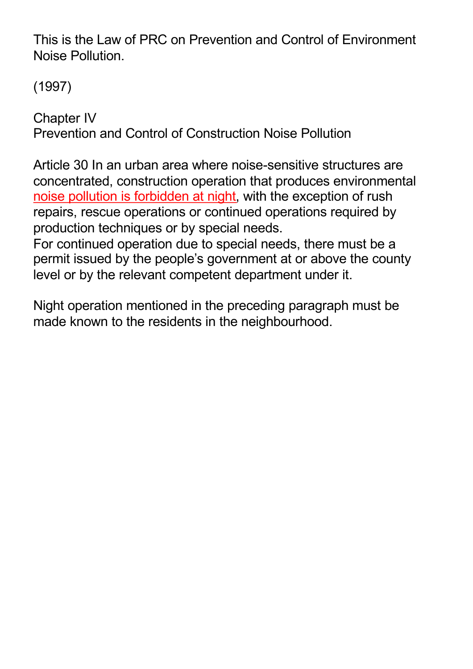This is the Law of PRC on Prevention and Control of Environment Noise Pollution.

(1997)

Chapter IV Prevention and Control of Construction Noise Pollution

Article 30 In an urban area where noise-sensitive structures are concentrated, construction operation that produces environmental noise pollution is forbidden at night, with the exception of rush repairs, rescue operations or continued operations required by production techniques or by special needs.

For continued operation due to special needs, there must be a permit issued by the people's government at or above the county level or by the relevant competent department under it.

Night operation mentioned in the preceding paragraph must be made known to the residents in the neighbourhood.